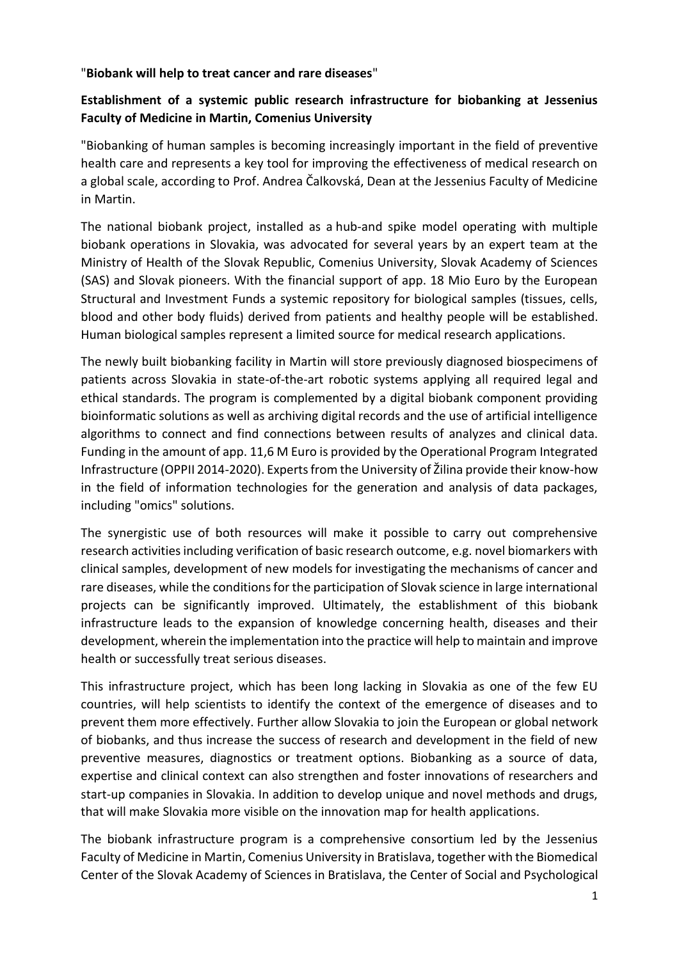"**Biobank will help to treat cancer and rare diseases**"

## **Establishment of a systemic public research infrastructure for biobanking at Jessenius Faculty of Medicine in Martin, Comenius University**

"Biobanking of human samples is becoming increasingly important in the field of preventive health care and represents a key tool for improving the effectiveness of medical research on a global scale, according to Prof. Andrea Čalkovská, Dean at the Jessenius Faculty of Medicine in Martin.

The national biobank project, installed as a hub-and spike model operating with multiple biobank operations in Slovakia, was advocated for several years by an expert team at the Ministry of Health of the Slovak Republic, Comenius University, Slovak Academy of Sciences (SAS) and Slovak pioneers. With the financial support of app. 18 Mio Euro by the European Structural and Investment Funds a systemic repository for biological samples (tissues, cells, blood and other body fluids) derived from patients and healthy people will be established. Human biological samples represent a limited source for medical research applications.

The newly built biobanking facility in Martin will store previously diagnosed biospecimens of patients across Slovakia in state-of-the-art robotic systems applying all required legal and ethical standards. The program is complemented by a digital biobank component providing bioinformatic solutions as well as archiving digital records and the use of artificial intelligence algorithms to connect and find connections between results of analyzes and clinical data. Funding in the amount of app. 11,6 M Euro is provided by the Operational Program Integrated Infrastructure (OPPII 2014-2020). Experts from the University of Žilina provide their know-how in the field of information technologies for the generation and analysis of data packages, including "omics" solutions.

The synergistic use of both resources will make it possible to carry out comprehensive research activities including verification of basic research outcome, e.g. novel biomarkers with clinical samples, development of new models for investigating the mechanisms of cancer and rare diseases, while the conditions for the participation of Slovak science in large international projects can be significantly improved. Ultimately, the establishment of this biobank infrastructure leads to the expansion of knowledge concerning health, diseases and their development, wherein the implementation into the practice will help to maintain and improve health or successfully treat serious diseases.

This infrastructure project, which has been long lacking in Slovakia as one of the few EU countries, will help scientists to identify the context of the emergence of diseases and to prevent them more effectively. Further allow Slovakia to join the European or global network of biobanks, and thus increase the success of research and development in the field of new preventive measures, diagnostics or treatment options. Biobanking as a source of data, expertise and clinical context can also strengthen and foster innovations of researchers and start-up companies in Slovakia. In addition to develop unique and novel methods and drugs, that will make Slovakia more visible on the innovation map for health applications.

The biobank infrastructure program is a comprehensive consortium led by the Jessenius Faculty of Medicine in Martin, Comenius University in Bratislava, together with the Biomedical Center of the Slovak Academy of Sciences in Bratislava, the Center of Social and Psychological